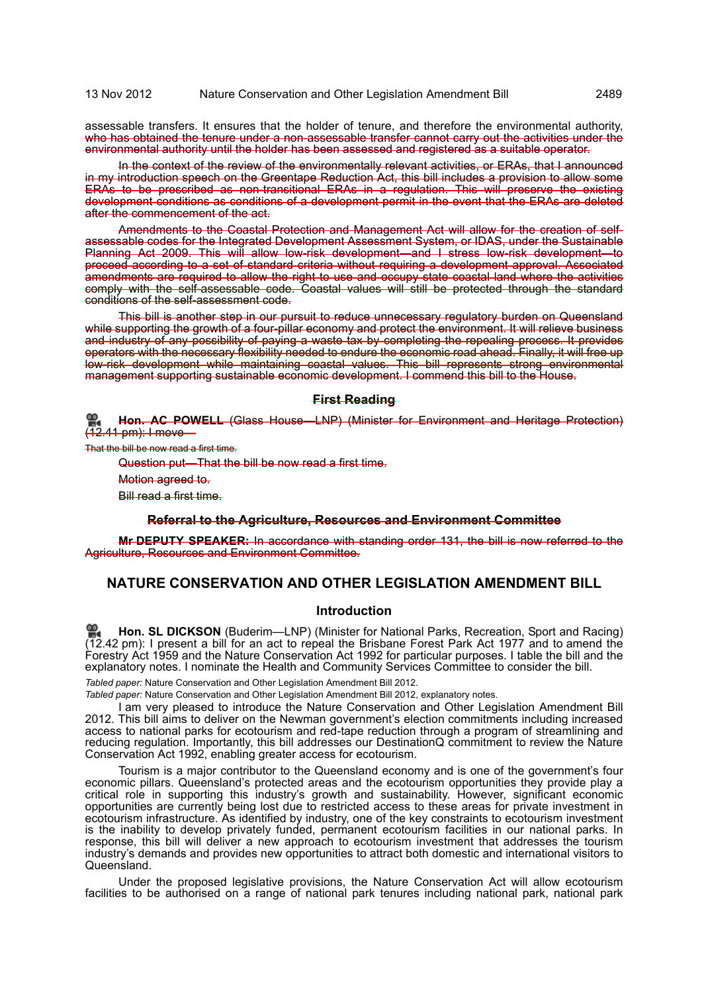assessable transfers. It ensures that the holder of tenure, and therefore the environmental authority, who has obtained the tenure under a non-assessable transfer cannot carry out the activities under the environmental authority until the holder has been assessed and registered as a suitable operator.

In the context of the review of the environmentally relevant activities, or ERAs, that I announced in my introduction speech on the Greentape Reduction Act, this bill includes a provision to allow some ERAs to be prescribed as non-transitional ERAs in a regulation. This will preserve the existing development conditions as conditions of a development permit in the event that the ERAs are deleted after the commencement of the act.

Amendments to the Coastal Protection and Management Act will allow for the creation of selfassessable codes for the Integrated Development Assessment System, or IDAS, under the Sustainable Planning Act 2009. This will allow low-risk development—and I stress low-risk development—to proceed according to a set of standard criteria without requiring a development approval. Associated amendments are required to allow the right to use and occupy state coastal land where the activities comply with the self-assessable code. Coastal values will still be protected through the standard conditions of the self-assessment code.

This bill is another step in our pursuit to reduce unnecessary regulatory burden on Queensland while supporting the growth of a four-pillar economy and protect the environment. It will relieve business and industry of any possibility of paying a waste tax by completing the repealing process. It provides operators with the necessary flexibility needed to endure the economic road ahead. Finally, it will free up low-risk development while maintaining coastal values. This bill represents strong environmental management supporting sustainable economic development. I commend this bill to the House.

### **First Reading**

**Hon. AC POWELL** [\(Glass House—LNP\) \(Minister for Environment and Heritage Protection\)](http://www.parliament.qld.gov.au/docs/find.aspx?id=0Mba20121113_124210) [\(12.41 pm\): I move—](http://www.parliament.qld.gov.au/docs/find.aspx?id=0Mba20121113_124210)

That the bill be now read a first time.

Question put—That the bill be now read a first time.

Motion agreed to.

Bill read a first time.

**Referral to the Agriculture, Resources and Environment Committee**

**Mr DEPUTY SPEAKER:** In accordance with standing order 131, the bill is now referred to the Agriculture, Resources and Environment Committee.

# **NATURE CONSERVATION AND OTHER LEGISLATION AMENDMENT BILL**

### **Introduction**

**[Hon. SL DICKSON](http://www.parliament.qld.gov.au/docs/find.aspx?id=0Mba20121113_124237)** (Buderim—LNP) (Minister for National Parks, Recreation, Sport and Racing) [\(12](http://www.parliament.qld.gov.au/docs/find.aspx?id=0Mba20121113_124237).42 pm): I present a bill for an act to repeal the Brisbane Forest Park Act 1977 and to amend the Forestry Act 1959 and the Nature Conservation Act 1992 for particular purposes. I table the bill and the explanatory notes. I nominate the Health and Community Services Committee to consider the bill.

*Tabled paper:* Nature Conservation and Other Legislation Amendment Bill 2012.

*Tabled paper:* Nature Conservation and Other Legislation Amendment Bill 2012, explanatory notes.

I am very pleased to introduce the Nature Conservation and Other Legislation Amendment Bill 2012. This bill aims to deliver on the Newman government's election commitments including increased access to national parks for ecotourism and red-tape reduction through a program of streamlining and reducing regulation. Importantly, this bill addresses our DestinationQ commitment to review the Nature Conservation Act 1992, enabling greater access for ecotourism.

Tourism is a major contributor to the Queensland economy and is one of the government's four economic pillars. Queensland's protected areas and the ecotourism opportunities they provide play a critical role in supporting this industry's growth and sustainability. However, significant economic opportunities are currently being lost due to restricted access to these areas for private investment in ecotourism infrastructure. As identified by industry, one of the key constraints to ecotourism investment is the inability to develop privately funded, permanent ecotourism facilities in our national parks. In response, this bill will deliver a new approach to ecotourism investment that addresses the tourism industry's demands and provides new opportunities to attract both domestic and international visitors to Queensland.

Under the proposed legislative provisions, the Nature Conservation Act will allow ecotourism facilities to be authorised on a range of national park tenures including national park, national park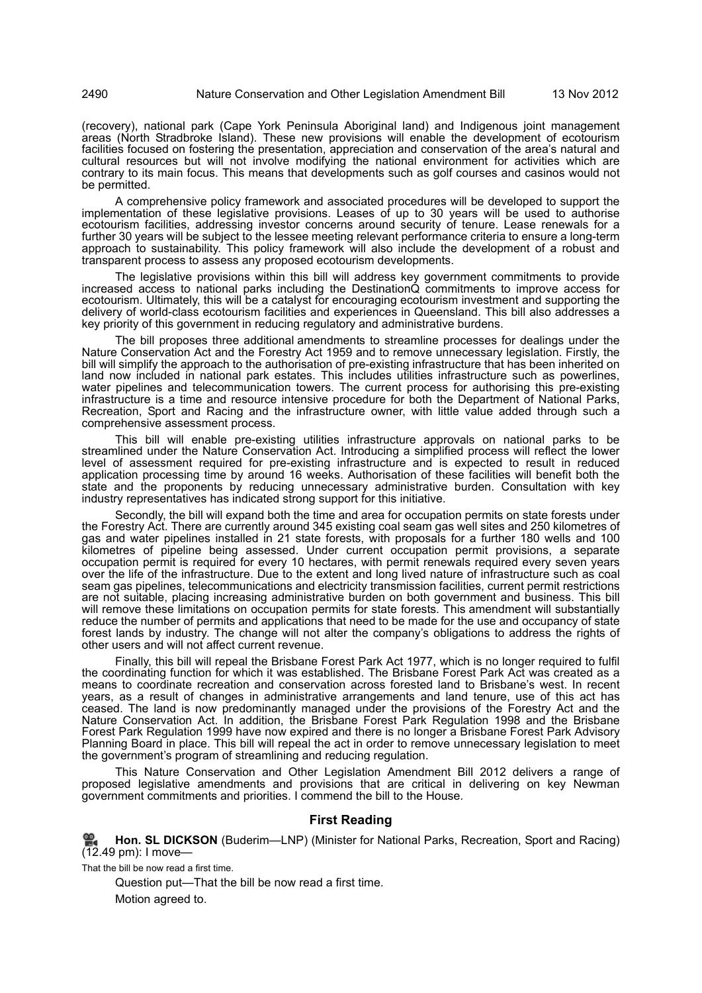(recovery), national park (Cape York Peninsula Aboriginal land) and Indigenous joint management areas (North Stradbroke Island). These new provisions will enable the development of ecotourism facilities focused on fostering the presentation, appreciation and conservation of the area's natural and cultural resources but will not involve modifying the national environment for activities which are contrary to its main focus. This means that developments such as golf courses and casinos would not be permitted.

A comprehensive policy framework and associated procedures will be developed to support the implementation of these legislative provisions. Leases of up to 30 years will be used to authorise ecotourism facilities, addressing investor concerns around security of tenure. Lease renewals for a further 30 years will be subject to the lessee meeting relevant performance criteria to ensure a long-term approach to sustainability. This policy framework will also include the development of a robust and transparent process to assess any proposed ecotourism developments.

The legislative provisions within this bill will address key government commitments to provide increased access to national parks including the DestinationQ commitments to improve access for ecotourism. Ultimately, this will be a catalyst for encouraging ecotourism investment and supporting the delivery of world-class ecotourism facilities and experiences in Queensland. This bill also addresses a key priority of this government in reducing regulatory and administrative burdens.

The bill proposes three additional amendments to streamline processes for dealings under the Nature Conservation Act and the Forestry Act 1959 and to remove unnecessary legislation. Firstly, the bill will simplify the approach to the authorisation of pre-existing infrastructure that has been inherited on land now included in national park estates. This includes utilities infrastructure such as powerlines, water pipelines and telecommunication towers. The current process for authorising this pre-existing infrastructure is a time and resource intensive procedure for both the Department of National Parks, Recreation, Sport and Racing and the infrastructure owner, with little value added through such a comprehensive assessment process.

This bill will enable pre-existing utilities infrastructure approvals on national parks to be streamlined under the Nature Conservation Act. Introducing a simplified process will reflect the lower level of assessment required for pre-existing infrastructure and is expected to result in reduced application processing time by around 16 weeks. Authorisation of these facilities will benefit both the state and the proponents by reducing unnecessary administrative burden. Consultation with key industry representatives has indicated strong support for this initiative.

Secondly, the bill will expand both the time and area for occupation permits on state forests under the Forestry Act. There are currently around 345 existing coal seam gas well sites and 250 kilometres of gas and water pipelines installed in 21 state forests, with proposals for a further 180 wells and 100 kilometres of pipeline being assessed. Under current occupation permit provisions, a separate occupation permit is required for every 10 hectares, with permit renewals required every seven years over the life of the infrastructure. Due to the extent and long lived nature of infrastructure such as coal seam gas pipelines, telecommunications and electricity transmission facilities, current permit restrictions are not suitable, placing increasing administrative burden on both government and business. This bill will remove these limitations on occupation permits for state forests. This amendment will substantially reduce the number of permits and applications that need to be made for the use and occupancy of state forest lands by industry. The change will not alter the company's obligations to address the rights of other users and will not affect current revenue.

Finally, this bill will repeal the Brisbane Forest Park Act 1977, which is no longer required to fulfil the coordinating function for which it was established. The Brisbane Forest Park Act was created as a means to coordinate recreation and conservation across forested land to Brisbane's west. In recent years, as a result of changes in administrative arrangements and land tenure, use of this act has ceased. The land is now predominantly managed under the provisions of the Forestry Act and the Nature Conservation Act. In addition, the Brisbane Forest Park Regulation 1998 and the Brisbane Forest Park Regulation 1999 have now expired and there is no longer a Brisbane Forest Park Advisory Planning Board in place. This bill will repeal the act in order to remove unnecessary legislation to meet the government's program of streamlining and reducing regulation.

This Nature Conservation and Other Legislation Amendment Bill 2012 delivers a range of proposed legislative amendments and provisions that are critical in delivering on key Newman government commitments and priorities. I commend the bill to the House.

# **First Reading**

**Hon. SL DICKSON** [\(Buderim—LNP\) \(Minister for National Parks, Recreation, Sport and Racing\)](http://www.parliament.qld.gov.au/docs/find.aspx?id=0Mba20121113_124932) [\(12.49 pm\): I move—](http://www.parliament.qld.gov.au/docs/find.aspx?id=0Mba20121113_124932)

That the bill be now read a first time.

Question put—That the bill be now read a first time.

Motion agreed to.